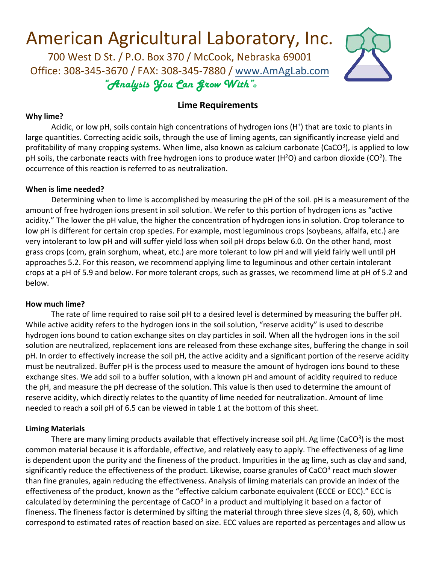# American Agricultural Laboratory, Inc.<br>700 West D St. / P.O. Box 370 / McCook, Nebraska 69001

Office: 308-345-3670 / FAX: 308-345-7880 / [www.AmAgLab.com](http://www.amaglab.com/) "Analysis You Can Grow With"®



## **Lime Requirements**

#### **Why lime?**

Acidic, or low pH, soils contain high concentrations of hydrogen ions (H<sup>+</sup>) that are toxic to plants in large quantities. Correcting acidic soils, through the use of liming agents, can significantly increase yield and profitability of many cropping systems. When lime, also known as calcium carbonate (CaCO<sup>3</sup>), is applied to low pH soils, the carbonate reacts with free hydrogen ions to produce water ( $H<sup>2</sup>O$ ) and carbon dioxide ( $CO<sup>2</sup>$ ). The occurrence of this reaction is referred to as neutralization.

#### **When is lime needed?**

Determining when to lime is accomplished by measuring the pH of the soil. pH is a measurement of the amount of free hydrogen ions present in soil solution. We refer to this portion of hydrogen ions as "active acidity." The lower the pH value, the higher the concentration of hydrogen ions in solution. Crop tolerance to low pH is different for certain crop species. For example, most leguminous crops (soybeans, alfalfa, etc.) are very intolerant to low pH and will suffer yield loss when soil pH drops below 6.0. On the other hand, most grass crops (corn, grain sorghum, wheat, etc.) are more tolerant to low pH and will yield fairly well until pH approaches 5.2. For this reason, we recommend applying lime to leguminous and other certain intolerant crops at a pH of 5.9 and below. For more tolerant crops, such as grasses, we recommend lime at pH of 5.2 and below.

#### **How much lime?**

The rate of lime required to raise soil pH to a desired level is determined by measuring the buffer pH. While active acidity refers to the hydrogen ions in the soil solution, "reserve acidity" is used to describe hydrogen ions bound to cation exchange sites on clay particles in soil. When all the hydrogen ions in the soil solution are neutralized, replacement ions are released from these exchange sites, buffering the change in soil pH. In order to effectively increase the soil pH, the active acidity and a significant portion of the reserve acidity must be neutralized. Buffer pH is the process used to measure the amount of hydrogen ions bound to these exchange sites. We add soil to a buffer solution, with a known pH and amount of acidity required to reduce the pH, and measure the pH decrease of the solution. This value is then used to determine the amount of reserve acidity, which directly relates to the quantity of lime needed for neutralization. Amount of lime needed to reach a soil pH of 6.5 can be viewed in table 1 at the bottom of this sheet.

#### **Liming Materials**

There are many liming products available that effectively increase soil pH. Ag lime (CaCO $3$ ) is the most common material because it is affordable, effective, and relatively easy to apply. The effectiveness of ag lime is dependent upon the purity and the fineness of the product. Impurities in the ag lime, such as clay and sand, significantly reduce the effectiveness of the product. Likewise, coarse granules of CaCO<sup>3</sup> react much slower than fine granules, again reducing the effectiveness. Analysis of liming materials can provide an index of the effectiveness of the product, known as the "effective calcium carbonate equivalent (ECCE or ECC)." ECC is calculated by determining the percentage of  $CaCO<sup>3</sup>$  in a product and multiplying it based on a factor of fineness. The fineness factor is determined by sifting the material through three sieve sizes (4, 8, 60), which correspond to estimated rates of reaction based on size. ECC values are reported as percentages and allow us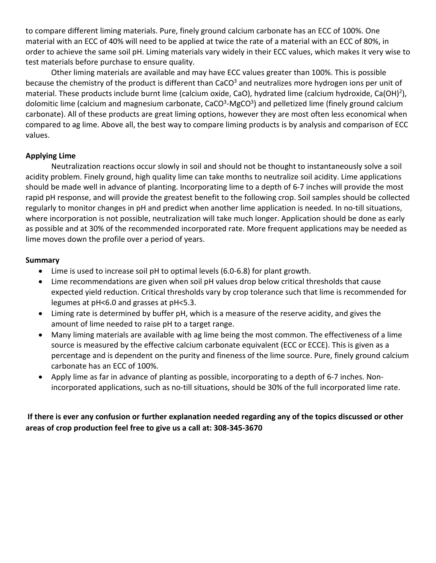to compare different liming materials. Pure, finely ground calcium carbonate has an ECC of 100%. One material with an ECC of 40% will need to be applied at twice the rate of a material with an ECC of 80%, in order to achieve the same soil pH. Liming materials vary widely in their ECC values, which makes it very wise to test materials before purchase to ensure quality.

Other liming materials are available and may have ECC values greater than 100%. This is possible because the chemistry of the product is different than CaCO $3$  and neutralizes more hydrogen ions per unit of material. These products include burnt lime (calcium oxide, CaO), hydrated lime (calcium hydroxide, Ca(OH)2), dolomitic lime (calcium and magnesium carbonate,  $CaCO<sup>3</sup>-MgCO<sup>3</sup>$ ) and pelletized lime (finely ground calcium carbonate). All of these products are great liming options, however they are most often less economical when compared to ag lime. Above all, the best way to compare liming products is by analysis and comparison of ECC values.

## **Applying Lime**

Neutralization reactions occur slowly in soil and should not be thought to instantaneously solve a soil acidity problem. Finely ground, high quality lime can take months to neutralize soil acidity. Lime applications should be made well in advance of planting. Incorporating lime to a depth of 6-7 inches will provide the most rapid pH response, and will provide the greatest benefit to the following crop. Soil samples should be collected regularly to monitor changes in pH and predict when another lime application is needed. In no-till situations, where incorporation is not possible, neutralization will take much longer. Application should be done as early as possible and at 30% of the recommended incorporated rate. More frequent applications may be needed as lime moves down the profile over a period of years.

### **Summary**

- Lime is used to increase soil pH to optimal levels (6.0-6.8) for plant growth.
- Lime recommendations are given when soil pH values drop below critical thresholds that cause expected yield reduction. Critical thresholds vary by crop tolerance such that lime is recommended for legumes at pH<6.0 and grasses at pH<5.3.
- Liming rate is determined by buffer pH, which is a measure of the reserve acidity, and gives the amount of lime needed to raise pH to a target range.
- Many liming materials are available with ag lime being the most common. The effectiveness of a lime source is measured by the effective calcium carbonate equivalent (ECC or ECCE). This is given as a percentage and is dependent on the purity and fineness of the lime source. Pure, finely ground calcium carbonate has an ECC of 100%.
- Apply lime as far in advance of planting as possible, incorporating to a depth of 6-7 inches. Nonincorporated applications, such as no-till situations, should be 30% of the full incorporated lime rate.

## **If there is ever any confusion or further explanation needed regarding any of the topics discussed or other areas of crop production feel free to give us a call at: 308-345-3670**